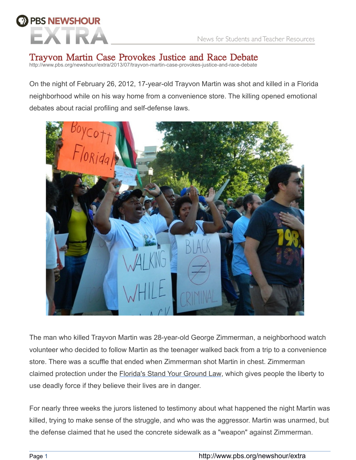# **BIS NEWSHOUR**

# Trayvon Martin Case Provokes Justice and Race Debate

http://www.pbs.org/newshour/extra/2013/07/trayvon-martin-case-provokes-justice-and-race-debate

On the night of February 26, 2012, 17-year-old Trayvon Martin was shot and killed in a Florida neighborhood while on his way home from a convenience store. The killing opened emotional debates about racial profiling and self-defense laws.



The man who killed Trayvon Martin was 28-year-old George Zimmerman, a neighborhood watch volunteer who decided to follow Martin as the teenager walked back from a trip to a convenience store. There was a scuffle that ended when Zimmerman shot Martin in chest. Zimmerman claimed protection under the [Florida's Stand Your Ground Law,](http://www.pbs.org/newshour/extra/2012/03/shooting-death-of-teen-raises-questions-about-florida-law/) which gives people the liberty to use deadly force if they believe their lives are in danger.

For nearly three weeks the jurors listened to testimony about what happened the night Martin was killed, trying to make sense of the struggle, and who was the aggressor. Martin was unarmed, but the defense claimed that he used the concrete sidewalk as a "weapon" against Zimmerman.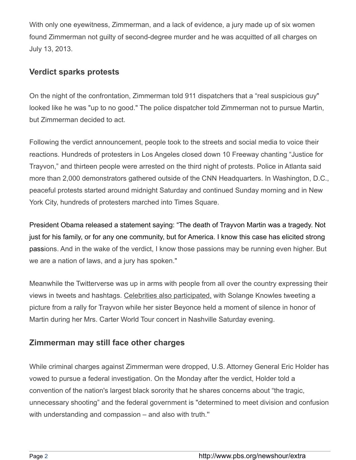With only one eyewitness, Zimmerman, and a lack of evidence, a jury made up of six women found Zimmerman not guilty of second-degree murder and he was acquitted of all charges on July 13, 2013.

## **Verdict sparks protests**

On the night of the confrontation, Zimmerman told 911 dispatchers that a "real suspicious guy" looked like he was "up to no good." The police dispatcher told Zimmerman not to pursue Martin, but Zimmerman decided to act.

Following the verdict announcement, people took to the streets and social media to voice their reactions. Hundreds of protesters in Los Angeles closed down 10 Freeway chanting "Justice for Trayvon," and thirteen people were arrested on the third night of protests. Police in Atlanta said more than 2,000 demonstrators gathered outside of the CNN Headquarters. In Washington, D.C., peaceful protests started around midnight Saturday and continued Sunday morning and in New York City, hundreds of protesters marched into Times Square.

President Obama released a statement saying: "The death of Trayvon Martin was a tragedy. Not just for his family, or for any one community, but for America. I know this case has elicited strong passions. And in the wake of the verdict, I know those passions may be running even higher. But we are a nation of laws, and a jury has spoken."

Meanwhile the Twitterverse was up in arms with people from all over the country expressing their views in tweets and hashtags. [Celebrities also participated,](http://www.usatoday.com/story/life/people/2013/07/13/celebs-react-to-george-zimmerman-verdit/2515113/) with Solange Knowles tweeting a picture from a rally for Trayvon while her sister Beyonce held a moment of silence in honor of Martin during her Mrs. Carter World Tour concert in Nashville Saturday evening.

## **Zimmerman may still face other charges**

While criminal charges against Zimmerman were dropped, U.S. Attorney General Eric Holder has vowed to pursue a federal investigation. On the Monday after the verdict, Holder told a convention of the nation's largest black sorority that he shares concerns about "the tragic, unnecessary shooting" and the federal government is "determined to meet division and confusion with understanding and compassion – and also with truth."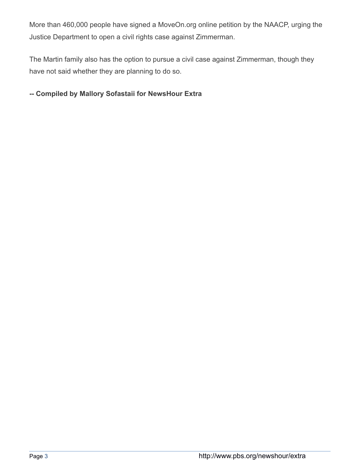More than 460,000 people have signed a MoveOn.org online petition by the NAACP, urging the Justice Department to open a civil rights case against Zimmerman.

The Martin family also has the option to pursue a civil case against Zimmerman, though they have not said whether they are planning to do so.

## **-- Compiled by Mallory Sofastaii for NewsHour Extra**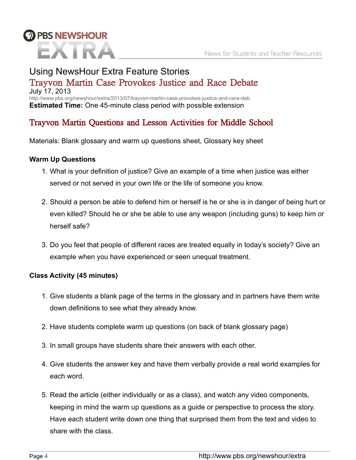

# Using NewsHour Extra Feature Stories Trayvon Martin Case Provokes Justice and Race Debate July 17, 2013

http://www.pbs.org/newshour/extra/2013/07/trayvon-martin-case-provokes-justice-and-race-deb **Estimated Time:** One 45-minute class period with possible extension

# Trayvon Martin Questions and Lesson Activities for Middle School

Materials: Blank glossary and warm up questions sheet, Glossary key sheet

## **Warm Up Questions**

- 1. What is your definition of justice? Give an example of a time when justice was either served or not served in your own life or the life of someone you know.
- 2. Should a person be able to defend him or herself is he or she is in danger of being hurt or even killed? Should he or she be able to use any weapon (including guns) to keep him or herself safe?
- 3. Do you feel that people of different races are treated equally in today's society? Give an example when you have experienced or seen unequal treatment.

#### **Class Activity (45 minutes)**

- 1. Give students a blank page of the terms in the glossary and in partners have them write down definitions to see what they already know.
- 2. Have students complete warm up questions (on back of blank glossary page)
- 3. In small groups have students share their answers with each other.
- 4. Give students the answer key and have them verbally provide a real world examples for each word.
- 5. Read the article (either individually or as a class), and watch any video components, keeping in mind the warm up questions as a guide or perspective to process the story. Have each student write down one thing that surprised them from the text and video to share with the class.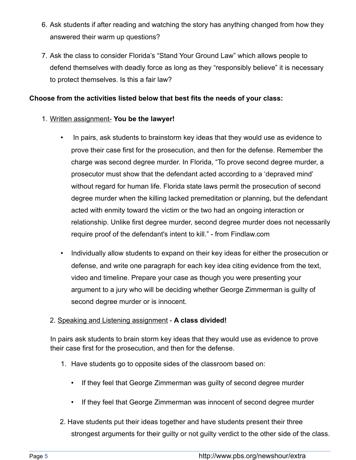- 6. Ask students if after reading and watching the story has anything changed from how they answered their warm up questions?
- 7. Ask the class to consider Florida's "Stand Your Ground Law" which allows people to defend themselves with deadly force as long as they "responsibly believe" it is necessary to protect themselves. Is this a fair law?

#### **Choose from the activities listed below that best fits the needs of your class:**

#### 1. Written assignment- **You be the lawyer!**

- In pairs, ask students to brainstorm key ideas that they would use as evidence to prove their case first for the prosecution, and then for the defense. Remember the charge was second degree murder. In Florida, "To prove second degree murder, a prosecutor must show that the defendant acted according to a 'depraved mind' without regard for human life. Florida state laws permit the prosecution of second degree murder when the killing lacked premeditation or planning, but the defendant acted with enmity toward the victim or the two had an ongoing interaction or relationship. Unlike first degree murder, second degree murder does not necessarily require proof of the defendant's intent to kill." - from Findlaw.com
- Individually allow students to expand on their key ideas for either the prosecution or defense, and write one paragraph for each key idea citing evidence from the text, video and timeline. Prepare your case as though you were presenting your argument to a jury who will be deciding whether George Zimmerman is guilty of second degree murder or is innocent.

#### 2. Speaking and Listening assignment - **A class divided!**

In pairs ask students to brain storm key ideas that they would use as evidence to prove their case first for the prosecution, and then for the defense.

- 1. Have students go to opposite sides of the classroom based on:
	- If they feel that George Zimmerman was guilty of second degree murder
	- If they feel that George Zimmerman was innocent of second degree murder
- 2. Have students put their ideas together and have students present their three strongest arguments for their guilty or not guilty verdict to the other side of the class.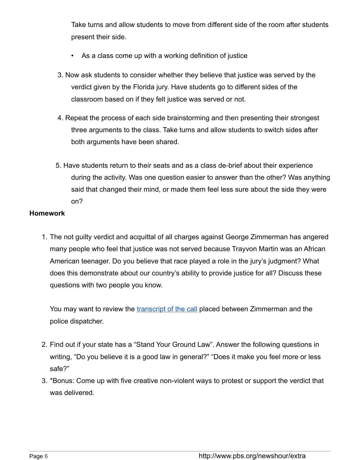Take turns and allow students to move from different side of the room after students present their side.

- As a class come up with a working definition of justice
- 3. Now ask students to consider whether they believe that justice was served by the verdict given by the Florida jury. Have students go to different sides of the classroom based on if they felt justice was served or not.
- 4. Repeat the process of each side brainstorming and then presenting their strongest three arguments to the class. Take turns and allow students to switch sides after both arguments have been shared.
- 5. Have students return to their seats and as a class de-brief about their experience during the activity. Was one question easier to answer than the other? Was anything said that changed their mind, or made them feel less sure about the side they were on?

#### **Homework**

1. The not guilty verdict and acquittal of all charges against George Zimmerman has angered many people who feel that justice was not served because Trayvon Martin was an African American teenager. Do you believe that race played a role in the jury's judgment? What does this demonstrate about our country's ability to provide justice for all? Discuss these questions with two people you know.

You may want to review the [transcript of the call](http://www.documentcloud.org/documents/326700-full-transcript-zimmerman.html) placed between Zimmerman and the police dispatcher.

- 2. Find out if your state has a "Stand Your Ground Law". Answer the following questions in writing, "Do you believe it is a good law in general?" "Does it make you feel more or less safe?"
- 3. \*Bonus: Come up with five creative non-violent ways to protest or support the verdict that was delivered.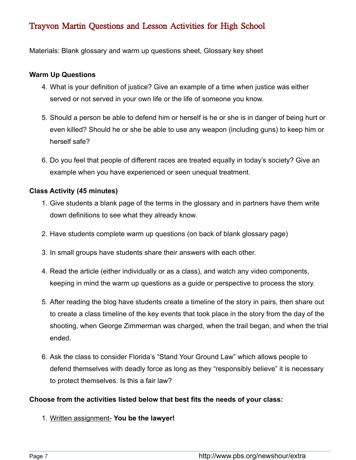## Trayvon Martin Questions and Lesson Activities for High School

Materials: Blank glossary and warm up questions sheet, Glossary key sheet

#### **Warm Up Questions**

- 4. What is your definition of justice? Give an example of a time when justice was either served or not served in your own life or the life of someone you know.
- 5. Should a person be able to defend him or herself is he or she is in danger of being hurt or even killed? Should he or she be able to use any weapon (including guns) to keep him or herself safe?
- 6. Do you feel that people of different races are treated equally in today's society? Give an example when you have experienced or seen unequal treatment.

#### **Class Activity (45 minutes)**

- 1. Give students a blank page of the terms in the glossary and in partners have them write down definitions to see what they already know.
- 2. Have students complete warm up questions (on back of blank glossary page)
- 3. In small groups have students share their answers with each other.
- 4. Read the article (either individually or as a class), and watch any video components, keeping in mind the warm up questions as a guide or perspective to process the story.
- 5. After reading the blog have students create a timeline of the story in pairs, then share out to create a class timeline of the key events that took place in the story from the day of the shooting, when George Zimmerman was charged, when the trail began, and when the trial ended.
- 6. Ask the class to consider Florida's "Stand Your Ground Law" which allows people to defend themselves with deadly force as long as they "responsibly believe" it is necessary to protect themselves. Is this a fair law?

#### **Choose from the activities listed below that best fits the needs of your class:**

1. Written assignment- **You be the lawyer!**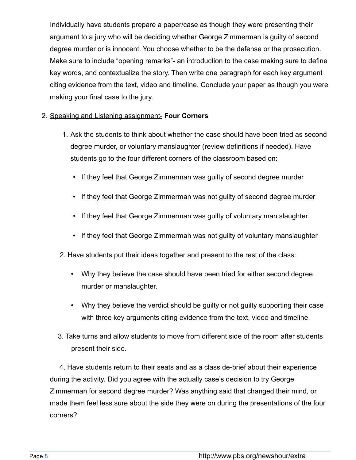Individually have students prepare a paper/case as though they were presenting their argument to a jury who will be deciding whether George Zimmerman is guilty of second degree murder or is innocent. You choose whether to be the defense or the prosecution. Make sure to include "opening remarks"- an introduction to the case making sure to define key words, and contextualize the story. Then write one paragraph for each key argument citing evidence from the text, video and timeline. Conclude your paper as though you were making your final case to the jury.

#### 2. Speaking and Listening assignment- **Four Corners**

- 1. Ask the students to think about whether the case should have been tried as second degree murder, or voluntary manslaughter (review definitions if needed). Have students go to the four different corners of the classroom based on:
	- If they feel that George Zimmerman was guilty of second degree murder
	- If they feel that George Zimmerman was not guilty of second degree murder
	- If they feel that George Zimmerman was guilty of voluntary man slaughter
	- If they feel that George Zimmerman was not guilty of voluntary manslaughter
- 2. Have students put their ideas together and present to the rest of the class:
	- Why they believe the case should have been tried for either second degree murder or manslaughter.
	- Why they believe the verdict should be guilty or not guilty supporting their case with three key arguments citing evidence from the text, video and timeline.
- 3. Take turns and allow students to move from different side of the room after students present their side.

 4. Have students return to their seats and as a class de-brief about their experience during the activity. Did you agree with the actually case's decision to try George Zimmerman for second degree murder? Was anything said that changed their mind, or made them feel less sure about the side they were on during the presentations of the four corners?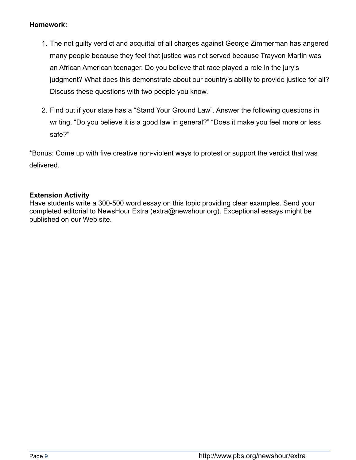#### **Homework:**

- 1. The not guilty verdict and acquittal of all charges against George Zimmerman has angered many people because they feel that justice was not served because Trayvon Martin was an African American teenager. Do you believe that race played a role in the jury's judgment? What does this demonstrate about our country's ability to provide justice for all? Discuss these questions with two people you know.
- 2. Find out if your state has a "Stand Your Ground Law". Answer the following questions in writing, "Do you believe it is a good law in general?" "Does it make you feel more or less safe?"

\*Bonus: Come up with five creative non-violent ways to protest or support the verdict that was delivered.

## **Extension Activity**

Have students write a 300-500 word essay on this topic providing clear examples. Send your completed editorial to NewsHour Extra (extra@newshour.org). Exceptional essays might be published on our Web site.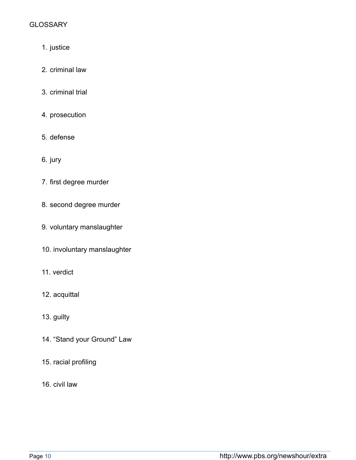## **GLOSSARY**

- 1. justice
- 2. criminal law
- 3. criminal trial
- 4. prosecution
- 5. defense
- 6. jury
- 7. first degree murder
- 8. second degree murder
- 9. voluntary manslaughter
- 10. involuntary manslaughter
- 11. verdict
- 12. acquittal
- 13. guilty
- 14. "Stand your Ground" Law
- 15. racial profiling
- 16. civil law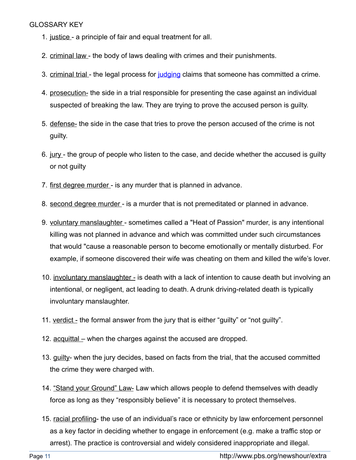#### GLOSSARY KEY

- 1. justice a principle of fair and equal treatment for all.
- 2. criminal law the body of laws dealing with crimes and their punishments.
- 3. criminal trial the legal process for judging claims that someone has committed a crime.
- 4. prosecution- the side in a trial responsible for presenting the case against an individual suspected of breaking the law. They are trying to prove the accused person is guilty.
- 5. defense- the side in the case that tries to prove the person accused of the crime is not guilty.
- 6. jury- the group of people who listen to the case, and decide whether the accused is guilty or not guilty
- 7. first degree murder is any murder that is planned in advance.
- 8. second degree murder is a murder that is not premeditated or planned in advance.
- 9. voluntary manslaughter sometimes called a "Heat of Passion" murder, is any intentional killing was not planned in advance and which was committed under such circumstances that would "cause a reasonable person to become emotionally or mentally disturbed. For example, if someone discovered their wife was cheating on them and killed the wife's lover.
- 10. involuntary manslaughter is death with a lack of intention to cause death but involving an intentional, or negligent, act leading to death. A drunk driving-related death is typically involuntary manslaughter.
- 11. verdict the formal answer from the jury that is either "guilty" or "not guilty".
- 12. acquittal when the charges against the accused are dropped.
- 13. guilty- when the jury decides, based on facts from the trial, that the accused committed the crime they were charged with.
- 14. "Stand your Ground" Law- Law which allows people to defend themselves with deadly force as long as they "responsibly believe" it is necessary to protect themselves.
- 15. racial profiling- the use of an individual's race or ethnicity by law enforcement personnel as a key factor in deciding whether to engage in enforcement (e.g. make a traffic stop or arrest). The practice is controversial and widely considered inappropriate and illegal.